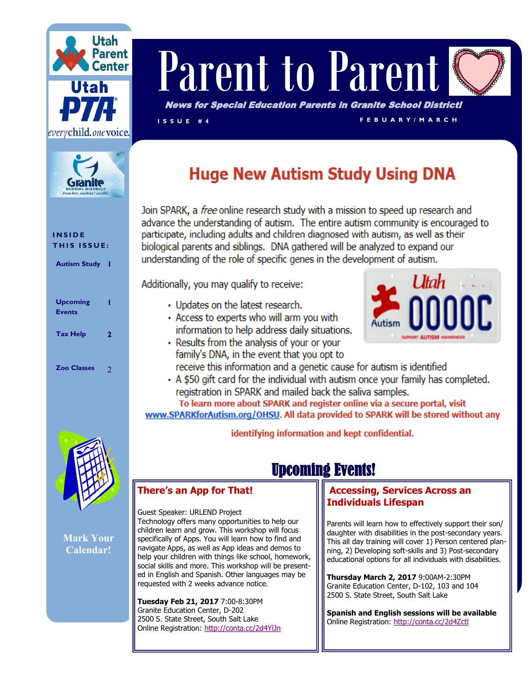



# Parent to Paren

News for Special Education Parents in Granite School District!

**I S S U E # 4 F E B U A R Y / M A R C H**

## **Huge New Autism Study Using DNA**

Join SPARK, a free online research study with a mission to speed up research and advance the understanding of autism. The entire autism community is encouraged to participate, including adults and children diagnosed with autism, as well as their biological parents and siblings. DNA gathered will be analyzed to expand our understanding of the role of specific genes in the development of autism.

Additionally, you may qualify to receive:

- Updates on the latest research.
- Access to experts who will arm you with information to help address daily situations.
- Results from the analysis of your or your family's DNA, in the event that you opt to



receive this information and a genetic cause for autism is identified • A \$50 gift card for the individual with autism once your family has completed.

registration in SPARK and mailed back the saliva samples.

To learn more about SPARK and register online via a secure portal, visit www.SPARKforAutism.org/OHSU. All data provided to SPARK will be stored without any

identifying information and kept confidential.

## Upcoming Events!

#### **There's an App for That!**

Guest Speaker: URLEND Project Technology offers many opportunities to help our children learn and grow. This workshop will focus specifically of Apps. You will learn how to find and navigate Apps, as well as App ideas and demos to help your children with things like school, homework, social skills and more. This workshop will be presented in English and Spanish. Other languages may be requested with 2 weeks advance notice.

**Tuesday Feb 21, 2017** 7:00-8:30PM Granite Education Center, D-202 2500 S. State Street, South Salt Lake Online Registration:<http://conta.cc/2d4YlJn>

#### **[Ac](http://conta.cc/1OTrsaY)cessing, Services Across an Individuals Lifespan**

Parents will learn how to effectively support their son/ daughter with disabilities in the post-secondary years. This all day training will cover 1) Person centered planning, 2) Developing soft-skills and 3) Post-secondary educational options for all individuals with disabilities.

**Thursday March 2, 2017** 9:00AM-2:30PM Granite Education Center, D-102, 103 and 104 2500 S. State Street, South Salt Lake

**Spanish and English sessions will be available**  Online Registration:<http://conta.cc/2d4Zctl>

#### **I N S I D E THIS ISSUE:**

**Autism Study 1**

| <b>Upcoming</b><br><b>Events</b> |   |
|----------------------------------|---|
| <b>Tax Help</b>                  | 2 |
| <b>Zoo Classes</b>               | 7 |



**Mark Your Calendar!**